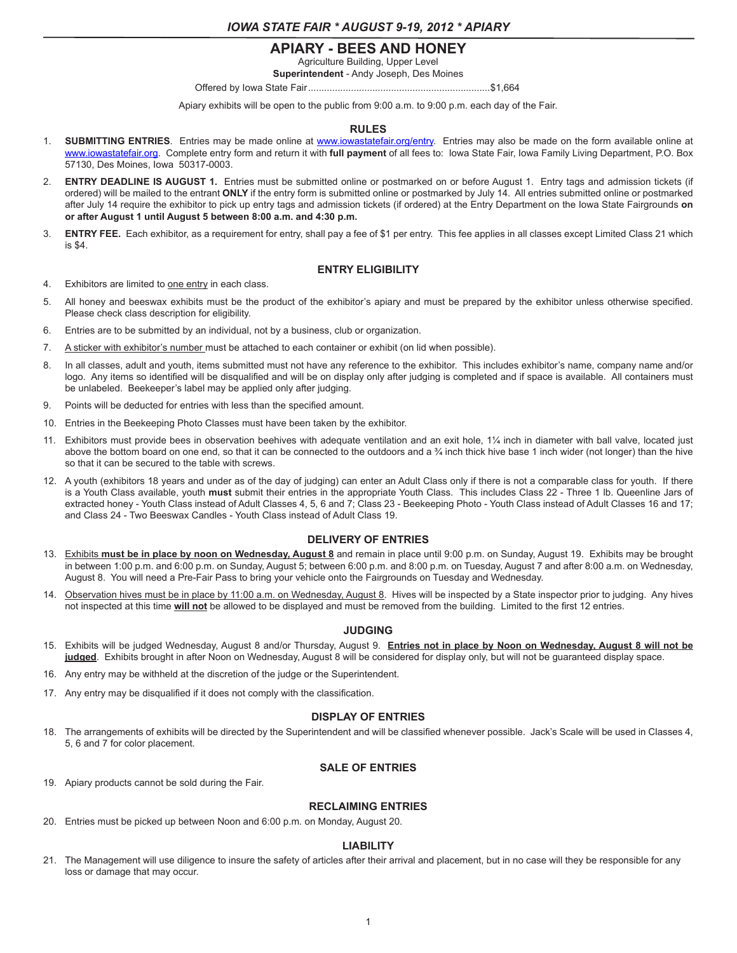# **APIARY - BEES AND HONEY**

Agriculture Building, Upper Level

**Superintendent** - Andy Joseph, Des Moines

Offered by Iowa State Fair....................................................................\$1,664

Apiary exhibits will be open to the public from 9:00 a.m. to 9:00 p.m. each day of the Fair.

# **RULES**

- 1. **SUBMITTING ENTRIES**. Entries may be made online at www.iowastatefair.org/entry. Entries may also be made on the form available online at www.iowastatefair.org. Complete entry form and return it with **full payment** of all fees to: Iowa State Fair, Iowa Family Living Department, P.O. Box 57130, Des Moines, Iowa 50317-0003.
- 2. **ENTRY DEADLINE IS AUGUST 1.** Entries must be submitted online or postmarked on or before August 1. Entry tags and admission tickets (if ordered) will be mailed to the entrant **ONLY** if the entry form is submitted online or postmarked by July 14. All entries submitted online or postmarked after July 14 require the exhibitor to pick up entry tags and admission tickets (if ordered) at the Entry Department on the Iowa State Fairgrounds **on or after August 1 until August 5 between 8:00 a.m. and 4:30 p.m.**
- 3. **ENTRY FEE.** Each exhibitor, as a requirement for entry, shall pay a fee of \$1 per entry. This fee applies in all classes except Limited Class 21 which is \$4.

# **ENTRY ELIGIBILITY**

- 4. Exhibitors are limited to one entry in each class.
- 5. All honey and beeswax exhibits must be the product of the exhibitor's apiary and must be prepared by the exhibitor unless otherwise specified. Please check class description for eligibility.
- 6. Entries are to be submitted by an individual, not by a business, club or organization.
- 7. A sticker with exhibitor's number must be attached to each container or exhibit (on lid when possible).
- 8. In all classes, adult and youth, items submitted must not have any reference to the exhibitor. This includes exhibitor's name, company name and/or logo. Any items so identified will be disqualified and will be on display only after judging is completed and if space is available. All containers must be unlabeled. Beekeeper's label may be applied only after judging.
- 9. Points will be deducted for entries with less than the specified amount.
- 10. Entries in the Beekeeping Photo Classes must have been taken by the exhibitor.
- 11. Exhibitors must provide bees in observation beehives with adequate ventilation and an exit hole, 1¼ inch in diameter with ball valve, located just above the bottom board on one end, so that it can be connected to the outdoors and a % inch thick hive base 1 inch wider (not longer) than the hive so that it can be secured to the table with screws.
- 12. A youth (exhibitors 18 years and under as of the day of judging) can enter an Adult Class only if there is not a comparable class for youth. If there is a Youth Class available, youth **must** submit their entries in the appropriate Youth Class. This includes Class 22 - Three 1 lb. Queenline Jars of extracted honey - Youth Class instead of Adult Classes 4, 5, 6 and 7; Class 23 - Beekeeping Photo - Youth Class instead of Adult Classes 16 and 17; and Class 24 - Two Beeswax Candles - Youth Class instead of Adult Class 19.

# **DELIVERY OF ENTRIES**

- 13. Exhibits **must be in place by noon on Wednesday, August 8** and remain in place until 9:00 p.m. on Sunday, August 19. Exhibits may be brought in between 1:00 p.m. and 6:00 p.m. on Sunday, August 5; between 6:00 p.m. and 8:00 p.m. on Tuesday, August 7 and after 8:00 a.m. on Wednesday, August 8. You will need a Pre-Fair Pass to bring your vehicle onto the Fairgrounds on Tuesday and Wednesday.
- 14. Observation hives must be in place by 11:00 a.m. on Wednesday, August 8. Hives will be inspected by a State inspector prior to judging. Any hives not inspected at this time **will not** be allowed to be displayed and must be removed from the building. Limited to the first 12 entries.

# **JUDGING**

- 15. Exhibits will be judged Wednesday, August 8 and/or Thursday, August 9. **Entries not in place by Noon on Wednesday, August 8 will not be judged**. Exhibits brought in after Noon on Wednesday, August 8 will be considered for display only, but will not be guaranteed display space.
- 16. Any entry may be withheld at the discretion of the judge or the Superintendent.
- 17. Any entry may be disqualified if it does not comply with the classification.

# **DISPLAY OF ENTRIES**

18. The arrangements of exhibits will be directed by the Superintendent and will be classified whenever possible. Jack's Scale will be used in Classes 4, 5, 6 and 7 for color placement.

# **SALE OF ENTRIES**

19. Apiary products cannot be sold during the Fair.

# **RECLAIMING ENTRIES**

20. Entries must be picked up between Noon and 6:00 p.m. on Monday, August 20.

# **LIABILITY**

21. The Management will use diligence to insure the safety of articles after their arrival and placement, but in no case will they be responsible for any loss or damage that may occur.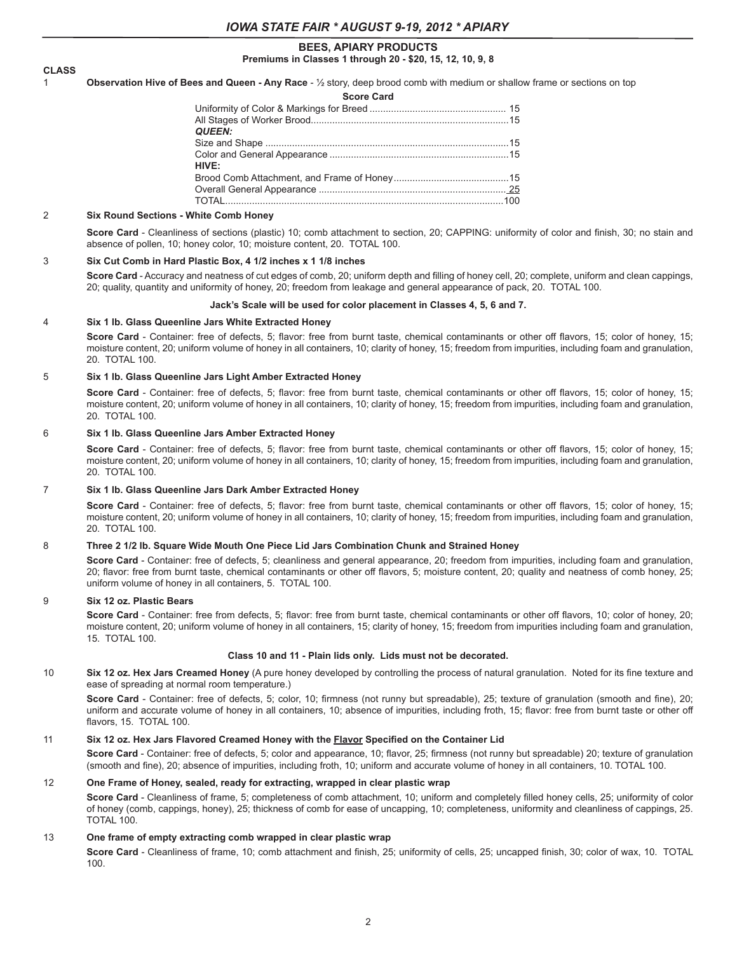### **BEES, APIARY PRODUCTS Premiums in Classes 1 through 20 - \$20, 15, 12, 10, 9, 8**

# **CLASS**

1 **Observation Hive of Bees and Queen - Any Race** - ½ story, deep brood comb with medium or shallow frame or sections on top

|  | <b>QUEEN:</b>     |  |
|--|-------------------|--|
|  |                   |  |
|  |                   |  |
|  | HIVF <sup>.</sup> |  |
|  |                   |  |
|  |                   |  |
|  |                   |  |
|  |                   |  |

#### 2 **Six Round Sections - White Comb Honey**

**Score Card** - Cleanliness of sections (plastic) 10; comb attachment to section, 20; CAPPING: uniformity of color and finish, 30; no stain and absence of pollen, 10; honey color, 10; moisture content, 20. TOTAL 100.

#### 3 **Six Cut Comb in Hard Plastic Box, 4 1/2 inches x 1 1/8 inches**

**Score Card** - Accuracy and neatness of cut edges of comb, 20; uniform depth and filling of honey cell, 20; complete, uniform and clean cappings, 20; quality, quantity and uniformity of honey, 20; freedom from leakage and general appearance of pack, 20. TOTAL 100.

#### **Jack's Scale will be used for color placement in Classes 4, 5, 6 and 7.**

#### 4 **Six 1 lb. Glass Queenline Jars White Extracted Honey**

Score Card - Container: free of defects, 5; flavor: free from burnt taste, chemical contaminants or other off flavors, 15; color of honey, 15; moisture content, 20; uniform volume of honey in all containers, 10; clarity of honey, 15; freedom from impurities, including foam and granulation, 20. TOTAL 100.

#### 5 **Six 1 lb. Glass Queenline Jars Light Amber Extracted Honey**

**Score Card** - Container: free of defects, 5; flavor: free from burnt taste, chemical contaminants or other off flavors, 15; color of honey, 15; moisture content, 20; uniform volume of honey in all containers, 10; clarity of honey, 15; freedom from impurities, including foam and granulation, 20. TOTAL 100.

#### 6 **Six 1 lb. Glass Queenline Jars Amber Extracted Honey**

**Score Card** - Container: free of defects, 5; flavor: free from burnt taste, chemical contaminants or other off flavors, 15; color of honey, 15; moisture content, 20; uniform volume of honey in all containers, 10; clarity of honey, 15; freedom from impurities, including foam and granulation, 20. TOTAL 100.

# 7 **Six 1 lb. Glass Queenline Jars Dark Amber Extracted Honey**

**Score Card** - Container: free of defects, 5; flavor: free from burnt taste, chemical contaminants or other off flavors, 15; color of honey, 15; moisture content, 20; uniform volume of honey in all containers, 10; clarity of honey, 15; freedom from impurities, including foam and granulation, 20. TOTAL 100.

#### 8 **Three 2 1/2 lb. Square Wide Mouth One Piece Lid Jars Combination Chunk and Strained Honey**

**Score Card** - Container: free of defects, 5; cleanliness and general appearance, 20; freedom from impurities, including foam and granulation, 20; flavor: free from burnt taste, chemical contaminants or other off flavors, 5; moisture content, 20; quality and neatness of comb honey, 25; uniform volume of honey in all containers, 5. TOTAL 100.

# 9 **Six 12 oz. Plastic Bears**

**Score Card** - Container: free from defects, 5; flavor: free from burnt taste, chemical contaminants or other off flavors, 10; color of honey, 20; moisture content, 20; uniform volume of honey in all containers, 15; clarity of honey, 15; freedom from impurities including foam and granulation, 15. TOTAL 100.

#### **Class 10 and 11 - Plain lids only. Lids must not be decorated.**

10 **Six 12 oz. Hex Jars Creamed Honey** (A pure honey developed by controlling the process of natural granulation. Noted for its fine texture and ease of spreading at normal room temperature.)

**Score Card** - Container: free of defects, 5; color, 10; firmness (not runny but spreadable), 25; texture of granulation (smooth and fine), 20; uniform and accurate volume of honey in all containers, 10; absence of impurities, including froth, 15; flavor: free from burnt taste or other off flavors, 15. TOTAL 100.

#### 11 **Six 12 oz. Hex Jars Flavored Creamed Honey with the Flavor Specified on the Container Lid**

Score Card - Container: free of defects, 5; color and appearance, 10; flavor, 25; firmness (not runny but spreadable) 20; texture of granulation (smooth and fine), 20; absence of impurities, including froth, 10; uniform and accurate volume of honey in all containers, 10. TOTAL 100.

#### 12 **One Frame of Honey, sealed, ready for extracting, wrapped in clear plastic wrap**

Score Card - Cleanliness of frame, 5; completeness of comb attachment, 10; uniform and completely filled honey cells, 25; uniformity of color of honey (comb, cappings, honey), 25; thickness of comb for ease of uncapping, 10; completeness, uniformity and cleanliness of cappings, 25. TOTAL 100.

# 13 **One frame of empty extracting comb wrapped in clear plastic wrap**

**Score Card** - Cleanliness of frame, 10; comb attachment and finish, 25; uniformity of cells, 25; uncapped finish, 30; color of wax, 10. TOTAL 100.